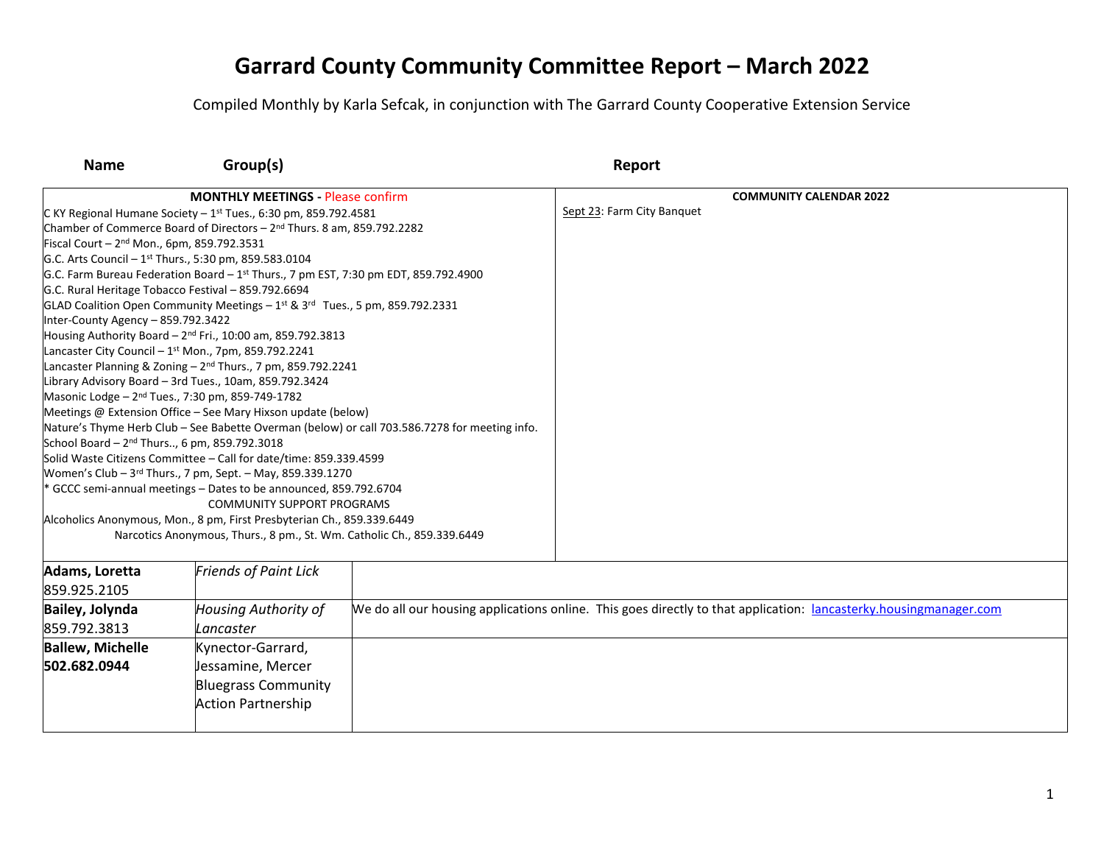| <b>Name</b>                                                                  | Group(s)                                                                                                               |                                                                                               | Report                     |                                                                                                                   |
|------------------------------------------------------------------------------|------------------------------------------------------------------------------------------------------------------------|-----------------------------------------------------------------------------------------------|----------------------------|-------------------------------------------------------------------------------------------------------------------|
|                                                                              | <b>MONTHLY MEETINGS - Please confirm</b>                                                                               |                                                                                               |                            | <b>COMMUNITY CALENDAR 2022</b>                                                                                    |
| C KY Regional Humane Society $-1$ <sup>st</sup> Tues., 6:30 pm, 859.792.4581 |                                                                                                                        |                                                                                               | Sept 23: Farm City Banquet |                                                                                                                   |
|                                                                              | Chamber of Commerce Board of Directors - 2 <sup>nd</sup> Thurs. 8 am, 859.792.2282                                     |                                                                                               |                            |                                                                                                                   |
| Fiscal Court - $2^{nd}$ Mon., 6pm, 859.792.3531                              |                                                                                                                        |                                                                                               |                            |                                                                                                                   |
|                                                                              | G.C. Arts Council - 1 <sup>st</sup> Thurs., 5:30 pm, 859.583.0104                                                      |                                                                                               |                            |                                                                                                                   |
|                                                                              | G.C. Farm Bureau Federation Board - $1^{st}$ Thurs., 7 pm EST, 7:30 pm EDT, 859.792.4900                               |                                                                                               |                            |                                                                                                                   |
|                                                                              | G.C. Rural Heritage Tobacco Festival - 859.792.6694                                                                    |                                                                                               |                            |                                                                                                                   |
|                                                                              | GLAD Coalition Open Community Meetings $-1^{st}$ & $3^{rd}$ Tues., 5 pm, 859.792.2331                                  |                                                                                               |                            |                                                                                                                   |
| Inter-County Agency - 859.792.3422                                           |                                                                                                                        |                                                                                               |                            |                                                                                                                   |
|                                                                              | Housing Authority Board $-2nd Fri.$ , 10:00 am, 859.792.3813                                                           |                                                                                               |                            |                                                                                                                   |
|                                                                              | Lancaster City Council - 1st Mon., 7pm, 859.792.2241                                                                   |                                                                                               |                            |                                                                                                                   |
|                                                                              | Lancaster Planning & Zoning $-2^{nd}$ Thurs., 7 pm, 859.792.2241                                                       |                                                                                               |                            |                                                                                                                   |
|                                                                              | Library Advisory Board - 3rd Tues., 10am, 859.792.3424<br>Masonic Lodge - 2 <sup>nd</sup> Tues., 7:30 pm, 859-749-1782 |                                                                                               |                            |                                                                                                                   |
|                                                                              | Meetings @ Extension Office - See Mary Hixson update (below)                                                           |                                                                                               |                            |                                                                                                                   |
|                                                                              |                                                                                                                        | Nature's Thyme Herb Club - See Babette Overman (below) or call 703.586.7278 for meeting info. |                            |                                                                                                                   |
| School Board - 2 <sup>nd</sup> Thurs, 6 pm, 859.792.3018                     |                                                                                                                        |                                                                                               |                            |                                                                                                                   |
|                                                                              | Solid Waste Citizens Committee - Call for date/time: 859.339.4599                                                      |                                                                                               |                            |                                                                                                                   |
|                                                                              | Women's Club - 3rd Thurs., 7 pm, Sept. - May, 859.339.1270                                                             |                                                                                               |                            |                                                                                                                   |
|                                                                              | * GCCC semi-annual meetings - Dates to be announced, 859.792.6704                                                      |                                                                                               |                            |                                                                                                                   |
|                                                                              | <b>COMMUNITY SUPPORT PROGRAMS</b>                                                                                      |                                                                                               |                            |                                                                                                                   |
|                                                                              | Alcoholics Anonymous, Mon., 8 pm, First Presbyterian Ch., 859.339.6449                                                 |                                                                                               |                            |                                                                                                                   |
|                                                                              | Narcotics Anonymous, Thurs., 8 pm., St. Wm. Catholic Ch., 859.339.6449                                                 |                                                                                               |                            |                                                                                                                   |
|                                                                              |                                                                                                                        |                                                                                               |                            |                                                                                                                   |
| Adams, Loretta                                                               | <b>Friends of Paint Lick</b>                                                                                           |                                                                                               |                            |                                                                                                                   |
| 859.925.2105                                                                 |                                                                                                                        |                                                                                               |                            |                                                                                                                   |
| <b>Bailey, Jolynda</b>                                                       | <b>Housing Authority of</b>                                                                                            |                                                                                               |                            | We do all our housing applications online. This goes directly to that application: lancasterky.housingmanager.com |
| 859.792.3813                                                                 | Lancaster                                                                                                              |                                                                                               |                            |                                                                                                                   |
| <b>Ballew, Michelle</b>                                                      | Kynector-Garrard,                                                                                                      |                                                                                               |                            |                                                                                                                   |
| 502.682.0944                                                                 | Jessamine, Mercer                                                                                                      |                                                                                               |                            |                                                                                                                   |
|                                                                              | <b>Bluegrass Community</b>                                                                                             |                                                                                               |                            |                                                                                                                   |
|                                                                              | <b>Action Partnership</b>                                                                                              |                                                                                               |                            |                                                                                                                   |
|                                                                              |                                                                                                                        |                                                                                               |                            |                                                                                                                   |
|                                                                              |                                                                                                                        |                                                                                               |                            |                                                                                                                   |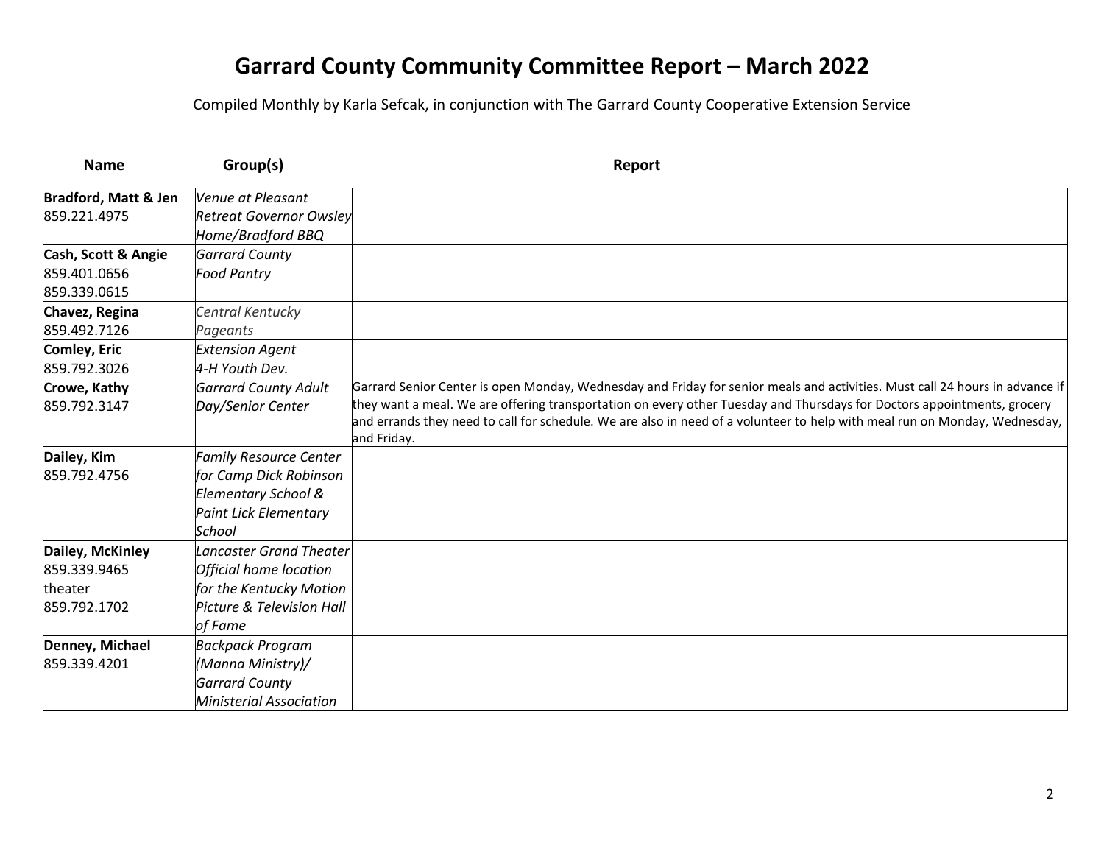| <b>Name</b>                     | Group(s)                       | Report                                                                                                                       |
|---------------------------------|--------------------------------|------------------------------------------------------------------------------------------------------------------------------|
| <b>Bradford, Matt &amp; Jen</b> | Venue at Pleasant              |                                                                                                                              |
| 859.221.4975                    | <b>Retreat Governor Owsley</b> |                                                                                                                              |
|                                 | Home/Bradford BBQ              |                                                                                                                              |
| Cash, Scott & Angie             | <b>Garrard County</b>          |                                                                                                                              |
| 859.401.0656                    | <b>Food Pantry</b>             |                                                                                                                              |
| 859.339.0615                    |                                |                                                                                                                              |
| Chavez, Regina                  | Central Kentucky               |                                                                                                                              |
| 859.492.7126                    | Pageants                       |                                                                                                                              |
| Comley, Eric                    | <b>Extension Agent</b>         |                                                                                                                              |
| 859.792.3026                    | 4-H Youth Dev.                 |                                                                                                                              |
| Crowe, Kathy                    | <b>Garrard County Adult</b>    | Garrard Senior Center is open Monday, Wednesday and Friday for senior meals and activities. Must call 24 hours in advance if |
| 859.792.3147                    | Day/Senior Center              | they want a meal. We are offering transportation on every other Tuesday and Thursdays for Doctors appointments, grocery      |
|                                 |                                | and errands they need to call for schedule. We are also in need of a volunteer to help with meal run on Monday, Wednesday,   |
|                                 |                                | and Friday.                                                                                                                  |
| Dailey, Kim                     | <b>Family Resource Center</b>  |                                                                                                                              |
| 859.792.4756                    | for Camp Dick Robinson         |                                                                                                                              |
|                                 | Elementary School &            |                                                                                                                              |
|                                 | <b>Paint Lick Elementary</b>   |                                                                                                                              |
|                                 | School                         |                                                                                                                              |
| Dailey, McKinley                | <b>Lancaster Grand Theater</b> |                                                                                                                              |
| 859.339.9465                    | Official home location         |                                                                                                                              |
| theater                         | for the Kentucky Motion        |                                                                                                                              |
| 859.792.1702                    | Picture & Television Hall      |                                                                                                                              |
|                                 | of Fame                        |                                                                                                                              |
| Denney, Michael                 | <b>Backpack Program</b>        |                                                                                                                              |
| 859.339.4201                    | (Manna Ministry)/              |                                                                                                                              |
|                                 | <b>Garrard County</b>          |                                                                                                                              |
|                                 | <b>Ministerial Association</b> |                                                                                                                              |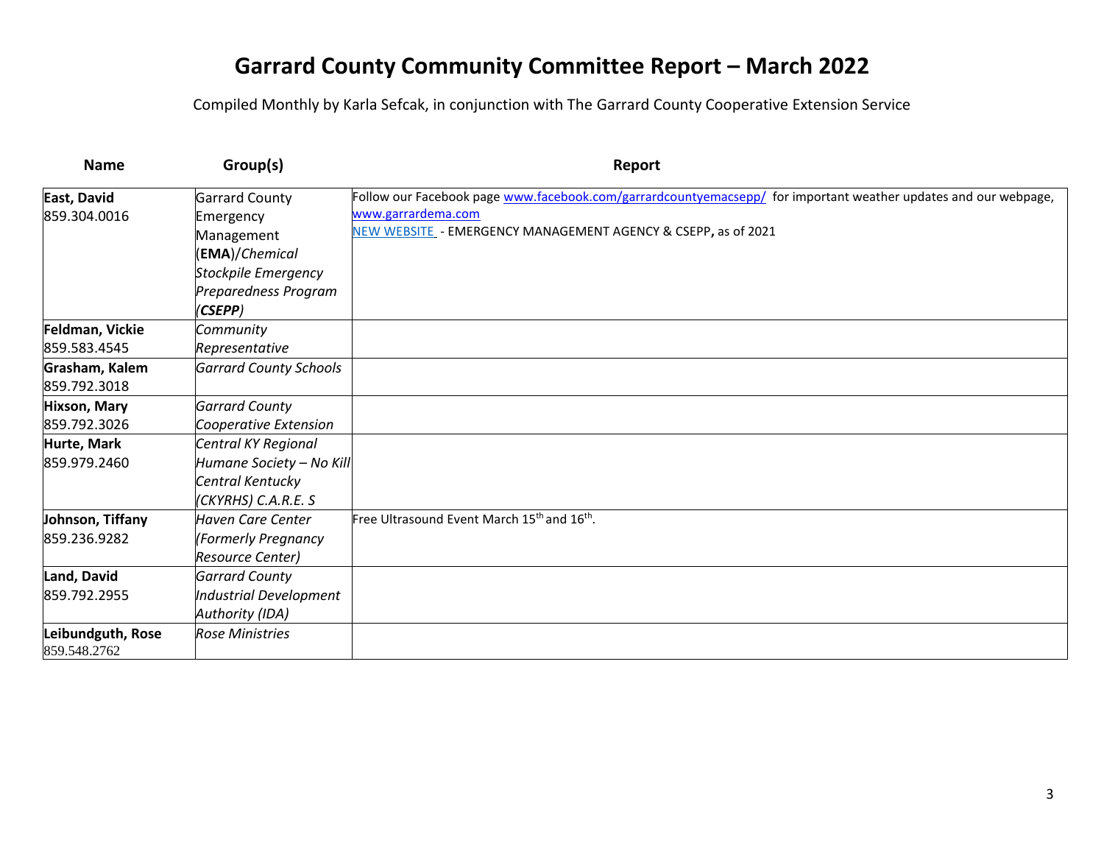| <b>Name</b>         | Group(s)                      | Report                                                                                                          |
|---------------------|-------------------------------|-----------------------------------------------------------------------------------------------------------------|
| East, David         | <b>Garrard County</b>         | Follow our Facebook page www.facebook.com/garrardcountyemacsepp/ for important weather updates and our webpage, |
| 859.304.0016        | Emergency                     | www.garrardema.com                                                                                              |
|                     | Management                    | NEW WEBSITE - EMERGENCY MANAGEMENT AGENCY & CSEPP, as of 2021                                                   |
|                     | (EMA)/Chemical                |                                                                                                                 |
|                     | Stockpile Emergency           |                                                                                                                 |
|                     | Preparedness Program          |                                                                                                                 |
|                     | (CSEPP)                       |                                                                                                                 |
| Feldman, Vickie     | Community                     |                                                                                                                 |
| 859.583.4545        | Representative                |                                                                                                                 |
| Grasham, Kalem      | <b>Garrard County Schools</b> |                                                                                                                 |
| 859.792.3018        |                               |                                                                                                                 |
| <b>Hixson, Mary</b> | <b>Garrard County</b>         |                                                                                                                 |
| 859.792.3026        | Cooperative Extension         |                                                                                                                 |
| Hurte, Mark         | Central KY Regional           |                                                                                                                 |
| 859.979.2460        | Humane Society - No Kill      |                                                                                                                 |
|                     | Central Kentucky              |                                                                                                                 |
|                     | (CKYRHS) C.A.R.E. S           |                                                                                                                 |
| Johnson, Tiffany    | Haven Care Center             | Free Ultrasound Event March 15 <sup>th</sup> and 16 <sup>th</sup> .                                             |
| 859.236.9282        | (Formerly Pregnancy           |                                                                                                                 |
|                     | Resource Center)              |                                                                                                                 |
| Land, David         | <b>Garrard County</b>         |                                                                                                                 |
| 859.792.2955        | Industrial Development        |                                                                                                                 |
|                     | Authority (IDA)               |                                                                                                                 |
| Leibundguth, Rose   | <b>Rose Ministries</b>        |                                                                                                                 |
| 859.548.2762        |                               |                                                                                                                 |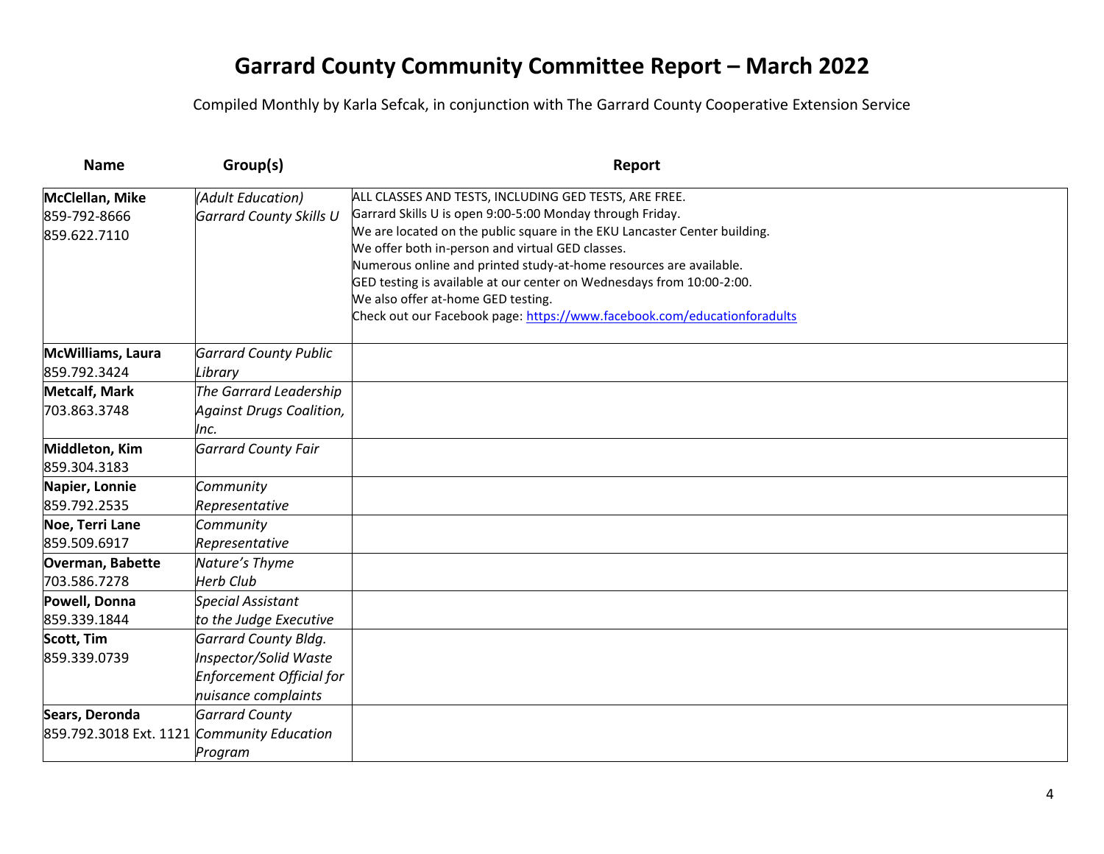| <b>Name</b>            | Group(s)                        | Report                                                                                                      |
|------------------------|---------------------------------|-------------------------------------------------------------------------------------------------------------|
| McClellan, Mike        | (Adult Education)               | ALL CLASSES AND TESTS, INCLUDING GED TESTS, ARE FREE.                                                       |
| 859-792-8666           | <b>Garrard County Skills U</b>  | Garrard Skills U is open 9:00-5:00 Monday through Friday.                                                   |
| 859.622.7110           |                                 | We are located on the public square in the EKU Lancaster Center building.                                   |
|                        |                                 | We offer both in-person and virtual GED classes.                                                            |
|                        |                                 | Numerous online and printed study-at-home resources are available.                                          |
|                        |                                 | GED testing is available at our center on Wednesdays from 10:00-2:00.<br>We also offer at-home GED testing. |
|                        |                                 | Check out our Facebook page: https://www.facebook.com/educationforadults                                    |
|                        |                                 |                                                                                                             |
| McWilliams, Laura      | <b>Garrard County Public</b>    |                                                                                                             |
| 859.792.3424           | Library                         |                                                                                                             |
| <b>Metcalf, Mark</b>   | The Garrard Leadership          |                                                                                                             |
| 703.863.3748           | <b>Against Drugs Coalition,</b> |                                                                                                             |
|                        | Inc.                            |                                                                                                             |
| Middleton, Kim         | <b>Garrard County Fair</b>      |                                                                                                             |
| 859.304.3183           |                                 |                                                                                                             |
| Napier, Lonnie         | Community                       |                                                                                                             |
| 859.792.2535           | Representative                  |                                                                                                             |
| Noe, Terri Lane        | Community                       |                                                                                                             |
| 859.509.6917           | Representative                  |                                                                                                             |
| Overman, Babette       | Nature's Thyme                  |                                                                                                             |
| 703.586.7278           | <b>Herb Club</b>                |                                                                                                             |
| Powell, Donna          | <b>Special Assistant</b>        |                                                                                                             |
| 859.339.1844           | to the Judge Executive          |                                                                                                             |
| <b>Scott, Tim</b>      | <b>Garrard County Bldg.</b>     |                                                                                                             |
| 859.339.0739           | Inspector/Solid Waste           |                                                                                                             |
|                        | Enforcement Official for        |                                                                                                             |
|                        | nuisance complaints             |                                                                                                             |
| Sears, Deronda         | <b>Garrard County</b>           |                                                                                                             |
| 859.792.3018 Ext. 1121 | <b>Community Education</b>      |                                                                                                             |
|                        | Program                         |                                                                                                             |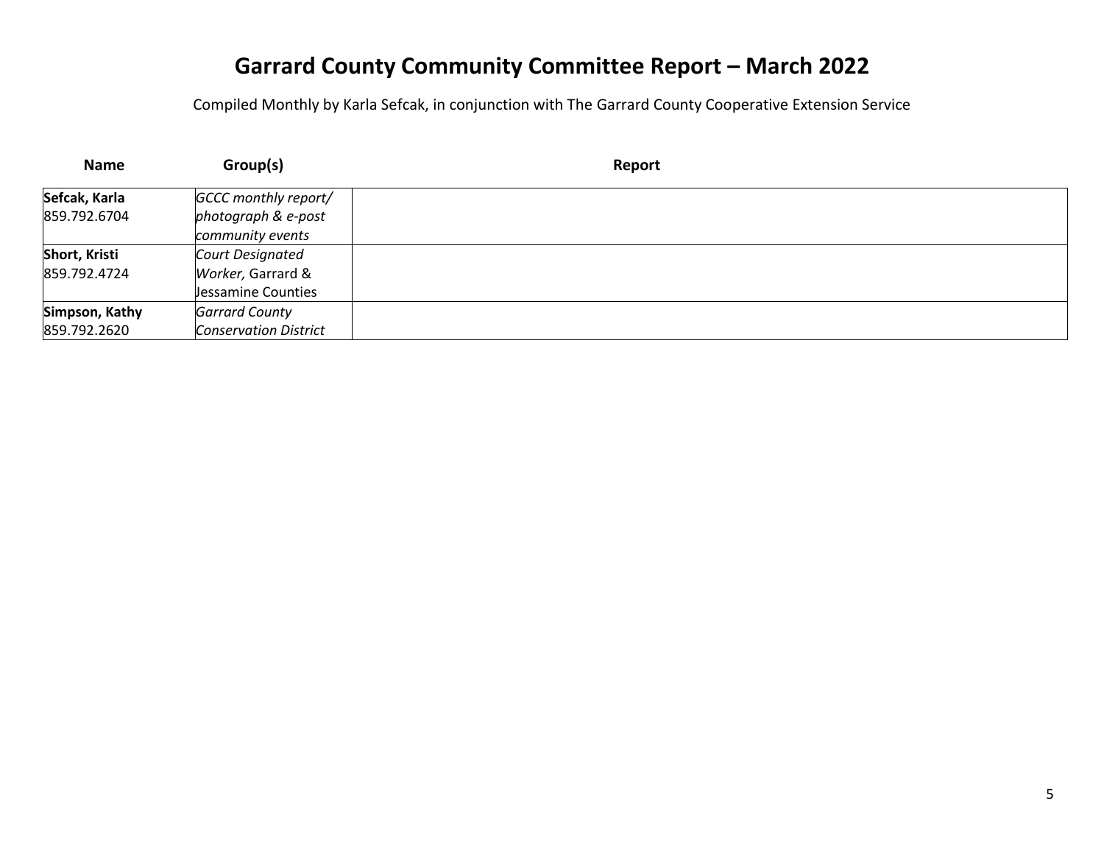| <b>Name</b>    | Group(s)                     | Report |
|----------------|------------------------------|--------|
| Sefcak, Karla  | GCCC monthly report/         |        |
| 859.792.6704   | photograph & e-post          |        |
|                | community events             |        |
| Short, Kristi  | Court Designated             |        |
| 859.792.4724   | Worker, Garrard &            |        |
|                | Jessamine Counties           |        |
| Simpson, Kathy | <b>Garrard County</b>        |        |
| 859.792.2620   | <b>Conservation District</b> |        |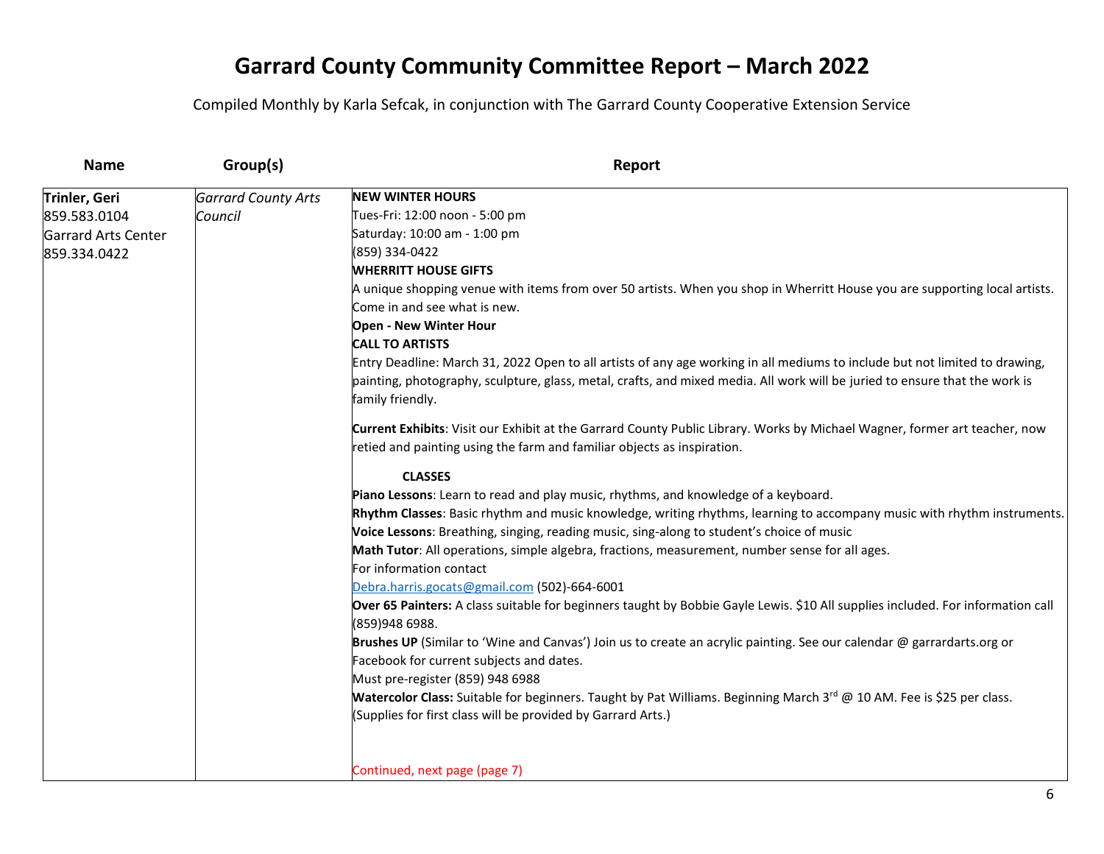| <b>Name</b>                | Group(s)                   | Report                                                                                                                                   |
|----------------------------|----------------------------|------------------------------------------------------------------------------------------------------------------------------------------|
| Trinler, Geri              | <b>Garrard County Arts</b> | <b>NEW WINTER HOURS</b>                                                                                                                  |
| 859.583.0104               | Council                    | Tues-Fri: 12:00 noon - 5:00 pm                                                                                                           |
| <b>Garrard Arts Center</b> |                            | Saturday: 10:00 am - 1:00 pm                                                                                                             |
| 859.334.0422               |                            | (859) 334-0422                                                                                                                           |
|                            |                            | <b>WHERRITT HOUSE GIFTS</b>                                                                                                              |
|                            |                            | A unique shopping venue with items from over 50 artists. When you shop in Wherritt House you are supporting local artists.               |
|                            |                            | Come in and see what is new.                                                                                                             |
|                            |                            | Open - New Winter Hour                                                                                                                   |
|                            |                            | <b>CALL TO ARTISTS</b>                                                                                                                   |
|                            |                            | Entry Deadline: March 31, 2022 Open to all artists of any age working in all mediums to include but not limited to drawing,              |
|                            |                            | painting, photography, sculpture, glass, metal, crafts, and mixed media. All work will be juried to ensure that the work is              |
|                            |                            | family friendly.                                                                                                                         |
|                            |                            | Current Exhibits: Visit our Exhibit at the Garrard County Public Library. Works by Michael Wagner, former art teacher, now               |
|                            |                            | retied and painting using the farm and familiar objects as inspiration.                                                                  |
|                            |                            | <b>CLASSES</b>                                                                                                                           |
|                            |                            | Piano Lessons: Learn to read and play music, rhythms, and knowledge of a keyboard.                                                       |
|                            |                            | Rhythm Classes: Basic rhythm and music knowledge, writing rhythms, learning to accompany music with rhythm instruments.                  |
|                            |                            | Voice Lessons: Breathing, singing, reading music, sing-along to student's choice of music                                                |
|                            |                            | Math Tutor: All operations, simple algebra, fractions, measurement, number sense for all ages.                                           |
|                            |                            | For information contact                                                                                                                  |
|                            |                            | Debra.harris.gocats@gmail.com (502)-664-6001                                                                                             |
|                            |                            | Over 65 Painters: A class suitable for beginners taught by Bobbie Gayle Lewis. \$10 All supplies included. For information call          |
|                            |                            | (859)948 6988.                                                                                                                           |
|                            |                            | Brushes UP (Similar to 'Wine and Canvas') Join us to create an acrylic painting. See our calendar @ garrardarts.org or                   |
|                            |                            | Facebook for current subjects and dates.                                                                                                 |
|                            |                            | Must pre-register (859) 948 6988                                                                                                         |
|                            |                            | <b>Watercolor Class:</b> Suitable for beginners. Taught by Pat Williams. Beginning March 3 <sup>rd</sup> @ 10 AM. Fee is \$25 per class. |
|                            |                            | (Supplies for first class will be provided by Garrard Arts.)                                                                             |
|                            |                            | Continued, next page (page 7)                                                                                                            |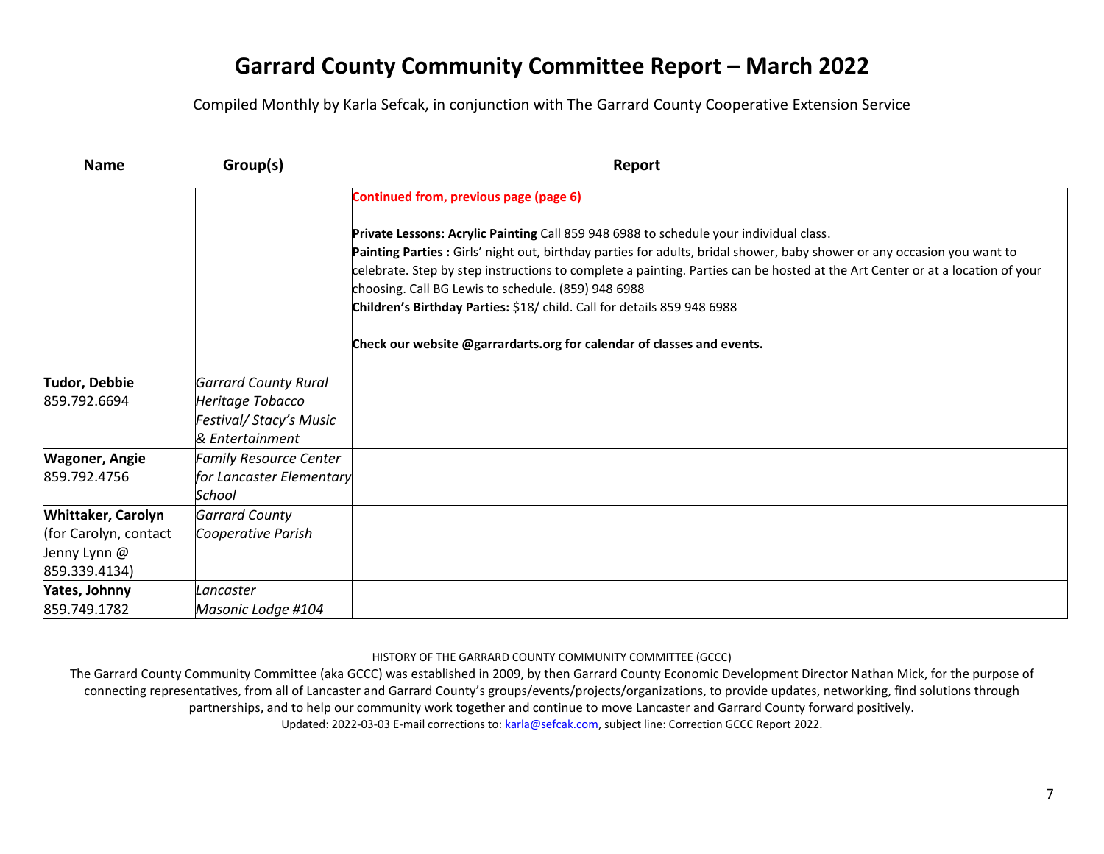Compiled Monthly by Karla Sefcak, in conjunction with The Garrard County Cooperative Extension Service

| <b>Name</b>                   | Group(s)                                  | Report                                                                                                                                                                                                                                                                                                                                              |
|-------------------------------|-------------------------------------------|-----------------------------------------------------------------------------------------------------------------------------------------------------------------------------------------------------------------------------------------------------------------------------------------------------------------------------------------------------|
|                               |                                           | Continued from, previous page (page 6)                                                                                                                                                                                                                                                                                                              |
|                               |                                           | Private Lessons: Acrylic Painting Call 859 948 6988 to schedule your individual class.<br>Painting Parties : Girls' night out, birthday parties for adults, bridal shower, baby shower or any occasion you want to<br>celebrate. Step by step instructions to complete a painting. Parties can be hosted at the Art Center or at a location of your |
|                               |                                           | choosing. Call BG Lewis to schedule. (859) 948 6988<br>Children's Birthday Parties: \$18/ child. Call for details 859 948 6988                                                                                                                                                                                                                      |
|                               |                                           | Check our website @garrardarts.org for calendar of classes and events.                                                                                                                                                                                                                                                                              |
| <b>Tudor, Debbie</b>          | <b>Garrard County Rural</b>               |                                                                                                                                                                                                                                                                                                                                                     |
| 859.792.6694                  | Heritage Tobacco                          |                                                                                                                                                                                                                                                                                                                                                     |
|                               | Festival/Stacy's Music<br>& Entertainment |                                                                                                                                                                                                                                                                                                                                                     |
| <b>Wagoner, Angie</b>         | <b>Family Resource Center</b>             |                                                                                                                                                                                                                                                                                                                                                     |
| 859.792.4756                  | for Lancaster Elementary<br>School        |                                                                                                                                                                                                                                                                                                                                                     |
| Whittaker, Carolyn            | <b>Garrard County</b>                     |                                                                                                                                                                                                                                                                                                                                                     |
| (for Carolyn, contact         | Cooperative Parish                        |                                                                                                                                                                                                                                                                                                                                                     |
| Jenny Lynn @<br>859.339.4134) |                                           |                                                                                                                                                                                                                                                                                                                                                     |
| Yates, Johnny                 | Lancaster                                 |                                                                                                                                                                                                                                                                                                                                                     |
| 859.749.1782                  | Masonic Lodge #104                        |                                                                                                                                                                                                                                                                                                                                                     |

HISTORY OF THE GARRARD COUNTY COMMUNITY COMMITTEE (GCCC)

The Garrard County Community Committee (aka GCCC) was established in 2009, by then Garrard County Economic Development Director Nathan Mick, for the purpose of connecting representatives, from all of Lancaster and Garrard County's groups/events/projects/organizations, to provide updates, networking, find solutions through partnerships, and to help our community work together and continue to move Lancaster and Garrard County forward positively.